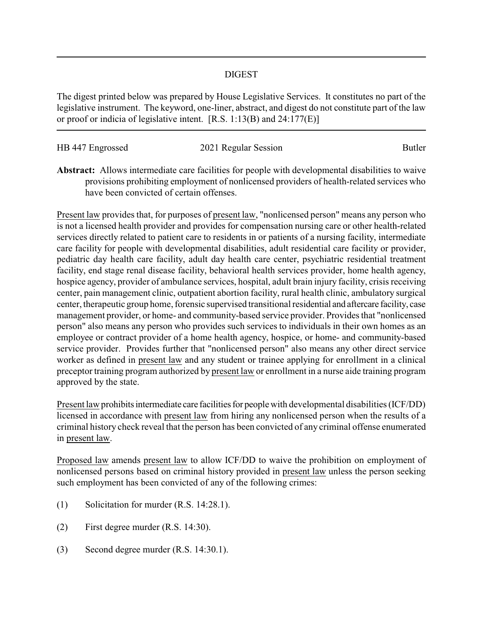## DIGEST

The digest printed below was prepared by House Legislative Services. It constitutes no part of the legislative instrument. The keyword, one-liner, abstract, and digest do not constitute part of the law or proof or indicia of legislative intent. [R.S. 1:13(B) and 24:177(E)]

| HB 447 Engrossed | 2021 Regular Session | Butler |
|------------------|----------------------|--------|
|                  |                      |        |

**Abstract:** Allows intermediate care facilities for people with developmental disabilities to waive provisions prohibiting employment of nonlicensed providers of health-related services who have been convicted of certain offenses.

Present law provides that, for purposes of present law, "nonlicensed person" means any person who is not a licensed health provider and provides for compensation nursing care or other health-related services directly related to patient care to residents in or patients of a nursing facility, intermediate care facility for people with developmental disabilities, adult residential care facility or provider, pediatric day health care facility, adult day health care center, psychiatric residential treatment facility, end stage renal disease facility, behavioral health services provider, home health agency, hospice agency, provider of ambulance services, hospital, adult brain injury facility, crisis receiving center, pain management clinic, outpatient abortion facility, rural health clinic, ambulatory surgical center, therapeutic group home, forensic supervised transitional residential and aftercare facility, case management provider, or home- and community-based service provider. Provides that "nonlicensed person" also means any person who provides such services to individuals in their own homes as an employee or contract provider of a home health agency, hospice, or home- and community-based service provider. Provides further that "nonlicensed person" also means any other direct service worker as defined in present law and any student or trainee applying for enrollment in a clinical preceptor training program authorized by present law or enrollment in a nurse aide training program approved by the state.

Present law prohibits intermediate care facilities for people with developmental disabilities (ICF/DD) licensed in accordance with present law from hiring any nonlicensed person when the results of a criminal history check reveal that the person has been convicted of any criminal offense enumerated in present law.

Proposed law amends present law to allow ICF/DD to waive the prohibition on employment of nonlicensed persons based on criminal history provided in present law unless the person seeking such employment has been convicted of any of the following crimes:

- (1) Solicitation for murder (R.S. 14:28.1).
- (2) First degree murder (R.S. 14:30).
- (3) Second degree murder (R.S. 14:30.1).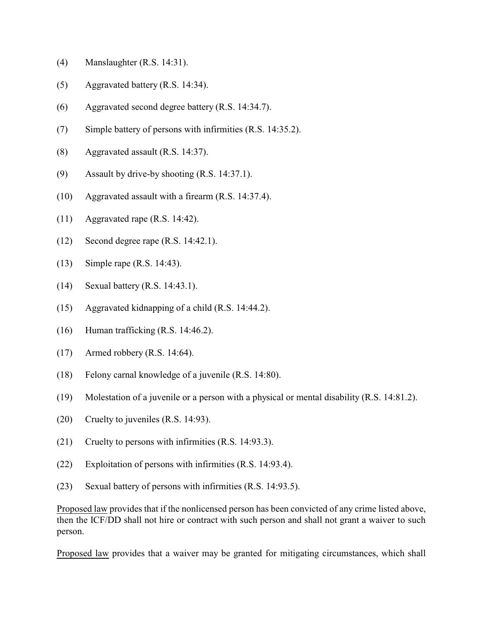- (4) Manslaughter (R.S. 14:31).
- (5) Aggravated battery (R.S. 14:34).
- (6) Aggravated second degree battery (R.S. 14:34.7).
- (7) Simple battery of persons with infirmities (R.S. 14:35.2).
- (8) Aggravated assault (R.S. 14:37).
- (9) Assault by drive-by shooting (R.S. 14:37.1).
- (10) Aggravated assault with a firearm (R.S. 14:37.4).
- (11) Aggravated rape (R.S. 14:42).
- (12) Second degree rape (R.S. 14:42.1).
- (13) Simple rape (R.S. 14:43).
- (14) Sexual battery (R.S. 14:43.1).
- (15) Aggravated kidnapping of a child (R.S. 14:44.2).
- (16) Human trafficking (R.S. 14:46.2).
- (17) Armed robbery (R.S. 14:64).
- (18) Felony carnal knowledge of a juvenile (R.S. 14:80).
- (19) Molestation of a juvenile or a person with a physical or mental disability (R.S. 14:81.2).
- (20) Cruelty to juveniles (R.S. 14:93).
- (21) Cruelty to persons with infirmities (R.S. 14:93.3).
- (22) Exploitation of persons with infirmities (R.S. 14:93.4).
- (23) Sexual battery of persons with infirmities (R.S. 14:93.5).

Proposed law provides that if the nonlicensed person has been convicted of any crime listed above, then the ICF/DD shall not hire or contract with such person and shall not grant a waiver to such person.

Proposed law provides that a waiver may be granted for mitigating circumstances, which shall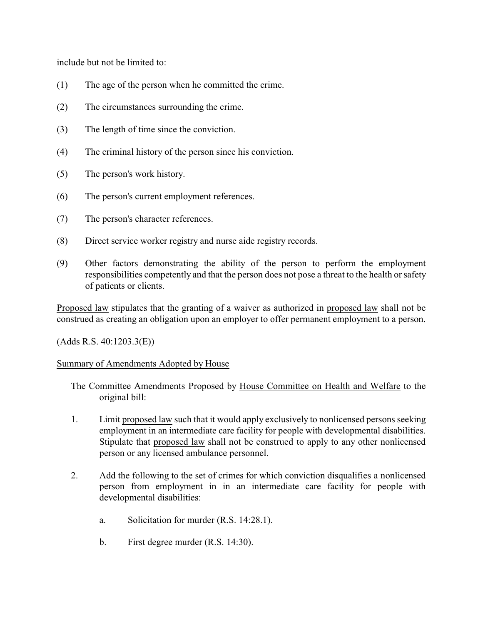include but not be limited to:

- (1) The age of the person when he committed the crime.
- (2) The circumstances surrounding the crime.
- (3) The length of time since the conviction.
- (4) The criminal history of the person since his conviction.
- (5) The person's work history.
- (6) The person's current employment references.
- (7) The person's character references.
- (8) Direct service worker registry and nurse aide registry records.
- (9) Other factors demonstrating the ability of the person to perform the employment responsibilities competently and that the person does not pose a threat to the health or safety of patients or clients.

Proposed law stipulates that the granting of a waiver as authorized in proposed law shall not be construed as creating an obligation upon an employer to offer permanent employment to a person.

(Adds R.S. 40:1203.3(E))

## Summary of Amendments Adopted by House

- The Committee Amendments Proposed by House Committee on Health and Welfare to the original bill:
- 1. Limit proposed law such that it would apply exclusively to nonlicensed persons seeking employment in an intermediate care facility for people with developmental disabilities. Stipulate that proposed law shall not be construed to apply to any other nonlicensed person or any licensed ambulance personnel.
- 2. Add the following to the set of crimes for which conviction disqualifies a nonlicensed person from employment in in an intermediate care facility for people with developmental disabilities:
	- a. Solicitation for murder (R.S. 14:28.1).
	- b. First degree murder (R.S. 14:30).